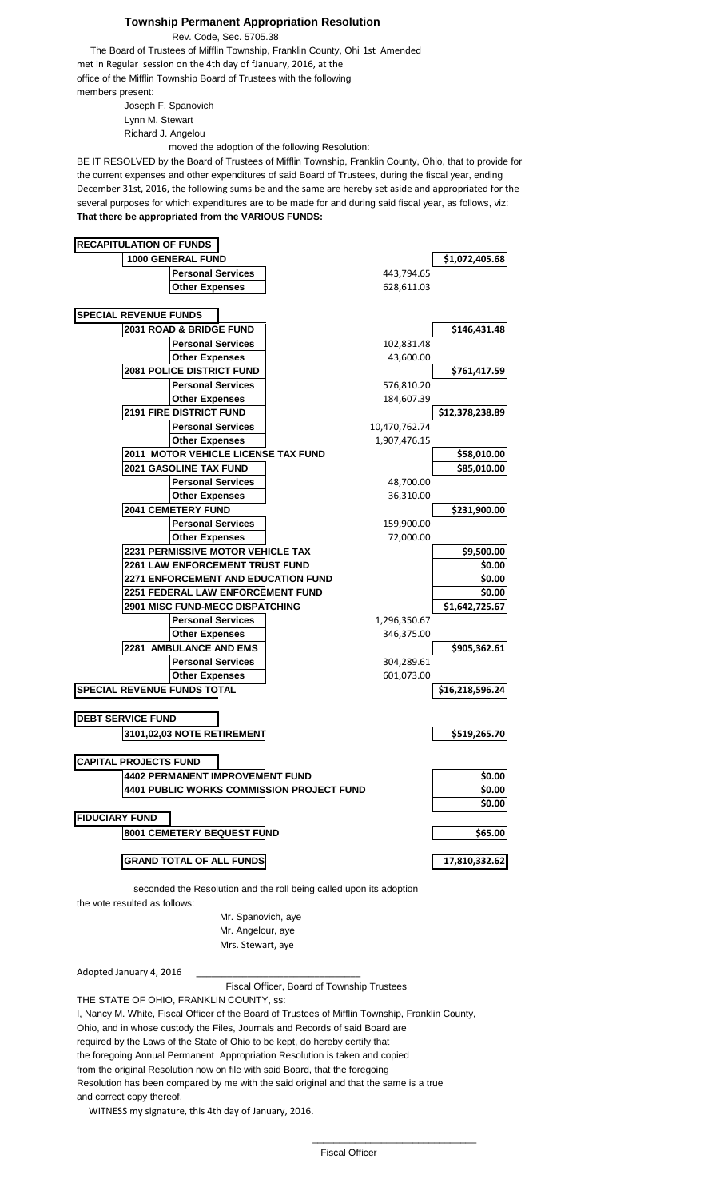## **Township Permanent Appropriation Resolution**

Rev. Code, Sec. 5705.38

The Board of Trustees of Mifflin Township, Franklin County, Ohi 1st Amended met in Regular session on the 4th day of fJanuary, 2016, at the office of the Mifflin Township Board of Trustees with the following members present:

Joseph F. Spanovich Lynn M. Stewart Richard J. Angelou

moved the adoption of the following Resolution:

BE IT RESOLVED by the Board of Trustees of Mifflin Township, Franklin County, Ohio, that to provide for the current expenses and other expenditures of said Board of Trustees, during the fiscal year, ending December 31st, 2016, the following sums be and the same are hereby set aside and appropriated for the several purposes for which expenditures are to be made for and during said fiscal year, as follows, viz: **That there be appropriated from the VARIOUS FUNDS:**



the vote resulted as follows:

Mr. Spanovich, aye Mr. Angelour, aye Mrs. Stewart, aye

Adopted January 4, 2016

Fiscal Officer, Board of Township Trustees

THE STATE OF OHIO, FRANKLIN COUNTY, ss: I, Nancy M. White, Fiscal Officer of the Board of Trustees of Mifflin Township, Franklin County, Ohio, and in whose custody the Files, Journals and Records of said Board are required by the Laws of the State of Ohio to be kept, do hereby certify that the foregoing Annual Permanent Appropriation Resolution is taken and copied from the original Resolution now on file with said Board, that the foregoing Resolution has been compared by me with the said original and that the same is a true and correct copy thereof.

 $\_$ 

WITNESS my signature, this 4th day of January, 2016.